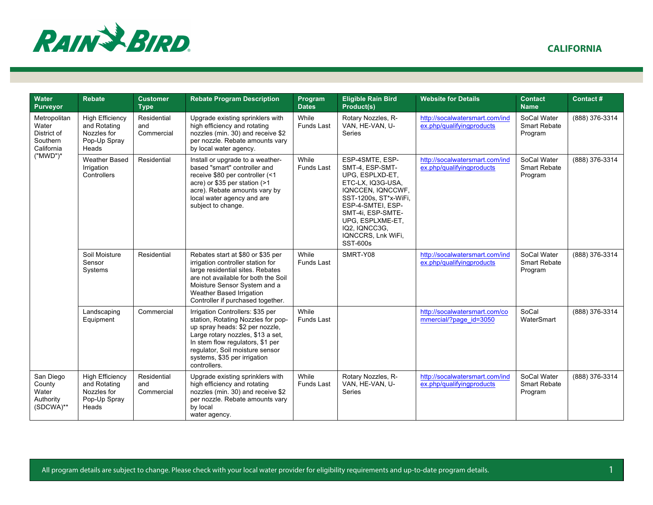

|  |  | <b>CALIFORNIA</b> |
|--|--|-------------------|
|  |  |                   |

| Water<br><b>Purveyor</b>                                                      | <b>Rebate</b>                                                                  | <b>Customer</b><br><b>Type</b>   | <b>Rebate Program Description</b>                                                                                                                                                                                                                                     | Program<br><b>Dates</b>    | <b>Eligible Rain Bird</b><br>Product(s)                                                                                                                                                                                                          | <b>Website for Details</b>                                  | <b>Contact</b><br><b>Name</b>                 | Contact#       |
|-------------------------------------------------------------------------------|--------------------------------------------------------------------------------|----------------------------------|-----------------------------------------------------------------------------------------------------------------------------------------------------------------------------------------------------------------------------------------------------------------------|----------------------------|--------------------------------------------------------------------------------------------------------------------------------------------------------------------------------------------------------------------------------------------------|-------------------------------------------------------------|-----------------------------------------------|----------------|
| Metropolitan<br>Water<br>District of<br>Southern<br>California<br>$("MWD")^*$ | <b>High Efficiency</b><br>and Rotating<br>Nozzles for<br>Pop-Up Spray<br>Heads | Residential<br>and<br>Commercial | Upgrade existing sprinklers with<br>high efficiency and rotating<br>nozzles (min. 30) and receive \$2<br>per nozzle. Rebate amounts vary<br>by local water agency.                                                                                                    | While<br><b>Funds Last</b> | Rotary Nozzles, R-<br>VAN, HE-VAN, U-<br><b>Series</b>                                                                                                                                                                                           | http://socalwatersmart.com/ind<br>ex.php/qualifyingproducts | SoCal Water<br><b>Smart Rebate</b><br>Program | (888) 376-3314 |
|                                                                               | <b>Weather Based</b><br>Irrigation<br>Controllers                              | Residential                      | Install or upgrade to a weather-<br>based "smart" controller and<br>receive \$80 per controller (<1<br>acre) or \$35 per station (>1<br>acre). Rebate amounts vary by<br>local water agency and are<br>subject to change.                                             | While<br><b>Funds Last</b> | ESP-4SMTE, ESP-<br>SMT-4, ESP-SMT-<br>UPG, ESPLXD-ET,<br>ETC-LX, IQ3G-USA,<br>IQNCCEN, IQNCCWF,<br>SST-1200s, ST*x-WiFi,<br>ESP-4-SMTEI, ESP-<br>SMT-4i, ESP-SMTE-<br>UPG. ESPLXME-ET.<br>IQ2, IQNCC3G,<br>IQNCCRS, Lnk WiFi,<br><b>SST-600s</b> | http://socalwatersmart.com/ind<br>ex.php/qualifyingproducts | SoCal Water<br><b>Smart Rebate</b><br>Program | (888) 376-3314 |
|                                                                               | Soil Moisture<br>Sensor<br>Systems                                             | Residential                      | Rebates start at \$80 or \$35 per<br>irrigation controller station for<br>large residential sites. Rebates<br>are not available for both the Soil<br>Moisture Sensor System and a<br>Weather Based Irrigation<br>Controller if purchased together.                    | While<br><b>Funds Last</b> | SMRT-Y08                                                                                                                                                                                                                                         | http://socalwatersmart.com/ind<br>ex.php/qualifyingproducts | SoCal Water<br>Smart Rebate<br>Program        | (888) 376-3314 |
|                                                                               | Landscaping<br>Equipment                                                       | Commercial                       | Irrigation Controllers: \$35 per<br>station, Rotating Nozzles for pop-<br>up spray heads: \$2 per nozzle,<br>Large rotary nozzles, \$13 a set,<br>In stem flow regulators, \$1 per<br>regulator, Soil moisture sensor<br>systems, \$35 per irrigation<br>controllers. | While<br><b>Funds Last</b> |                                                                                                                                                                                                                                                  | http://socalwatersmart.com/co<br>mmercial/?page id=3050     | SoCal<br>WaterSmart                           | (888) 376-3314 |
| San Diego<br>County<br>Water<br>Authority<br>(SDCWA)**                        | <b>High Efficiency</b><br>and Rotating<br>Nozzles for<br>Pop-Up Spray<br>Heads | Residential<br>and<br>Commercial | Upgrade existing sprinklers with<br>high efficiency and rotating<br>nozzles (min. 30) and receive \$2<br>per nozzle. Rebate amounts vary<br>by local<br>water agency.                                                                                                 | While<br><b>Funds Last</b> | Rotary Nozzles, R-<br>VAN, HE-VAN, U-<br>Series                                                                                                                                                                                                  | http://socalwatersmart.com/ind<br>ex.php/qualifyingproducts | SoCal Water<br><b>Smart Rebate</b><br>Program | (888) 376-3314 |

All program details are subject to change. Please check with your local water provider for eligibility requirements and up-to-date program details. 4.1 All program details.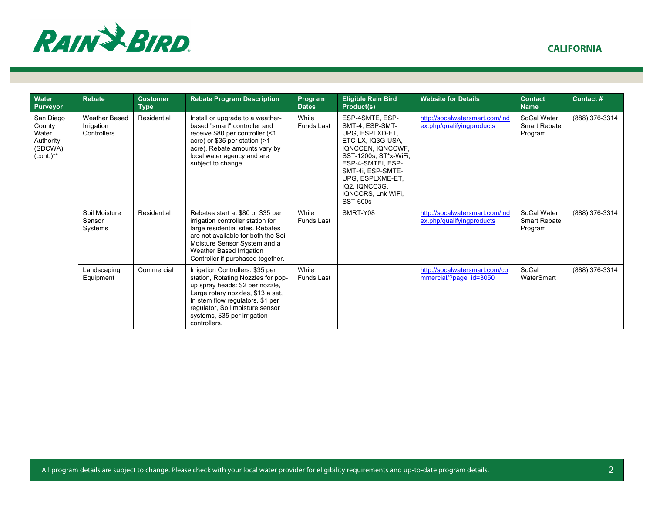

| <b>Water</b><br><b>Purveyor</b>                                        | <b>Rebate</b>                                     | <b>Customer</b><br><b>Type</b> | <b>Rebate Program Description</b>                                                                                                                                                                                                                                     | Program<br><b>Dates</b>    | <b>Eligible Rain Bird</b><br>Product(s)                                                                                                                                                                                                          | <b>Website for Details</b>                                  | <b>Contact</b><br><b>Name</b>                 | Contact#       |
|------------------------------------------------------------------------|---------------------------------------------------|--------------------------------|-----------------------------------------------------------------------------------------------------------------------------------------------------------------------------------------------------------------------------------------------------------------------|----------------------------|--------------------------------------------------------------------------------------------------------------------------------------------------------------------------------------------------------------------------------------------------|-------------------------------------------------------------|-----------------------------------------------|----------------|
| San Diego<br>County<br>Water<br>Authority<br>(SDCWA)<br>$(cont.)^{**}$ | <b>Weather Based</b><br>Irrigation<br>Controllers | Residential                    | Install or upgrade to a weather-<br>based "smart" controller and<br>receive \$80 per controller (<1<br>acre) or \$35 per station (>1<br>acre). Rebate amounts vary by<br>local water agency and are<br>subject to change.                                             | While<br><b>Funds Last</b> | ESP-4SMTE, ESP-<br>SMT-4, ESP-SMT-<br>UPG, ESPLXD-ET,<br>ETC-LX, IQ3G-USA,<br>IQNCCEN, IQNCCWF,<br>SST-1200s, ST*x-WiFi,<br>ESP-4-SMTEI, ESP-<br>SMT-4i, ESP-SMTE-<br>UPG. ESPLXME-ET.<br>IQ2, IQNCC3G,<br>IQNCCRS, Lnk WiFi,<br><b>SST-600s</b> | http://socalwatersmart.com/ind<br>ex.php/qualifyingproducts | SoCal Water<br><b>Smart Rebate</b><br>Program | (888) 376-3314 |
|                                                                        | Soil Moisture<br>Sensor<br>Systems                | Residential                    | Rebates start at \$80 or \$35 per<br>irrigation controller station for<br>large residential sites. Rebates<br>are not available for both the Soil<br>Moisture Sensor System and a<br>Weather Based Irrigation<br>Controller if purchased together.                    | While<br><b>Funds Last</b> | SMRT-Y08                                                                                                                                                                                                                                         | http://socalwatersmart.com/ind<br>ex.php/qualifyingproducts | SoCal Water<br><b>Smart Rebate</b><br>Program | (888) 376-3314 |
|                                                                        | Landscaping<br>Equipment                          | Commercial                     | Irrigation Controllers: \$35 per<br>station, Rotating Nozzles for pop-<br>up spray heads: \$2 per nozzle,<br>Large rotary nozzles, \$13 a set,<br>In stem flow regulators, \$1 per<br>regulator, Soil moisture sensor<br>systems, \$35 per irrigation<br>controllers. | While<br><b>Funds Last</b> |                                                                                                                                                                                                                                                  | http://socalwatersmart.com/co<br>mmercial/?page id=3050     | SoCal<br>WaterSmart                           | (888) 376-3314 |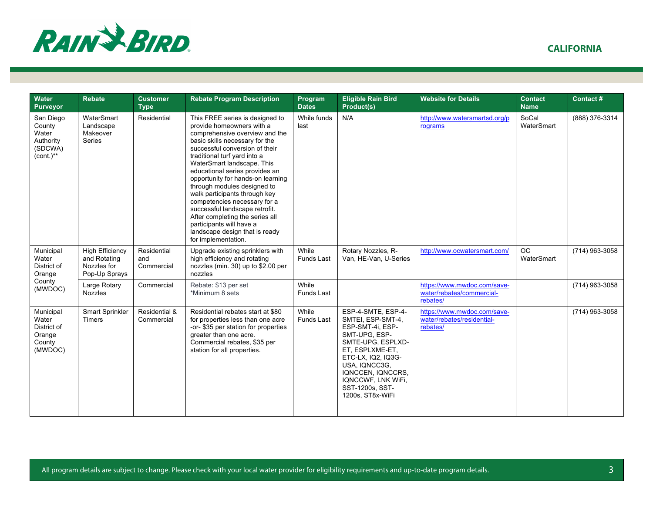

| Water<br><b>Purveyor</b>                                               | <b>Rebate</b>                                                          | <b>Customer</b><br><b>Type</b>   | <b>Rebate Program Description</b>                                                                                                                                                                                                                                                                                                                                                                                                                                                                                                                                 | Program<br><b>Dates</b>    | <b>Eligible Rain Bird</b><br>Product(s)                                                                                                                                                                                                       | <b>Website for Details</b>                                            | Contact<br><b>Name</b>  | Contact#       |
|------------------------------------------------------------------------|------------------------------------------------------------------------|----------------------------------|-------------------------------------------------------------------------------------------------------------------------------------------------------------------------------------------------------------------------------------------------------------------------------------------------------------------------------------------------------------------------------------------------------------------------------------------------------------------------------------------------------------------------------------------------------------------|----------------------------|-----------------------------------------------------------------------------------------------------------------------------------------------------------------------------------------------------------------------------------------------|-----------------------------------------------------------------------|-------------------------|----------------|
| San Diego<br>County<br>Water<br>Authority<br>(SDCWA)<br>$(cont.)^{**}$ | WaterSmart<br>Landscape<br>Makeover<br>Series                          | Residential                      | This FREE series is designed to<br>provide homeowners with a<br>comprehensive overview and the<br>basic skills necessary for the<br>successful conversion of their<br>traditional turf yard into a<br>WaterSmart landscape. This<br>educational series provides an<br>opportunity for hands-on learning<br>through modules designed to<br>walk participants through key<br>competencies necessary for a<br>successful landscape retrofit.<br>After completing the series all<br>participants will have a<br>landscape design that is ready<br>for implementation. | While funds<br>last        | N/A                                                                                                                                                                                                                                           | http://www.watersmartsd.org/p<br>rograms                              | SoCal<br>WaterSmart     | (888) 376-3314 |
| Municipal<br>Water<br>District of<br>Orange                            | <b>High Efficiency</b><br>and Rotating<br>Nozzles for<br>Pop-Up Sprays | Residential<br>and<br>Commercial | Upgrade existing sprinklers with<br>high efficiency and rotating<br>nozzles (min. 30) up to \$2.00 per<br>nozzles                                                                                                                                                                                                                                                                                                                                                                                                                                                 | While<br>Funds Last        | Rotary Nozzles, R-<br>Van, HE-Van, U-Series                                                                                                                                                                                                   | http://www.ocwatersmart.com/                                          | <b>OC</b><br>WaterSmart | (714) 963-3058 |
| County<br>(MWDOC)                                                      | Large Rotary<br><b>Nozzles</b>                                         | Commercial                       | Rebate: \$13 per set<br>*Minimum 8 sets                                                                                                                                                                                                                                                                                                                                                                                                                                                                                                                           | While<br>Funds Last        |                                                                                                                                                                                                                                               | https://www.mwdoc.com/save-<br>water/rebates/commercial-<br>rebates/  |                         | (714) 963-3058 |
| Municipal<br>Water<br>District of<br>Orange<br>County<br>(MWDOC)       | Smart Sprinkler<br><b>Timers</b>                                       | Residential &<br>Commercial      | Residential rebates start at \$80<br>for properties less than one acre<br>-or-\$35 per station for properties<br>greater than one acre.<br>Commercial rebates, \$35 per<br>station for all properties.                                                                                                                                                                                                                                                                                                                                                            | While<br><b>Funds Last</b> | ESP-4-SMTE, ESP-4-<br>SMTEI, ESP-SMT-4,<br>ESP-SMT-4i, ESP-<br>SMT-UPG. ESP-<br>SMTE-UPG, ESPLXD-<br>ET, ESPLXME-ET,<br>ETC-LX, IQ2, IQ3G-<br>USA, IQNCC3G,<br>IQNCCEN, IQNCCRS,<br>IQNCCWF, LNK WiFi,<br>SST-1200s, SST-<br>1200s, ST8x-WiFi | https://www.mwdoc.com/save-<br>water/rebates/residential-<br>rebates/ |                         | (714) 963-3058 |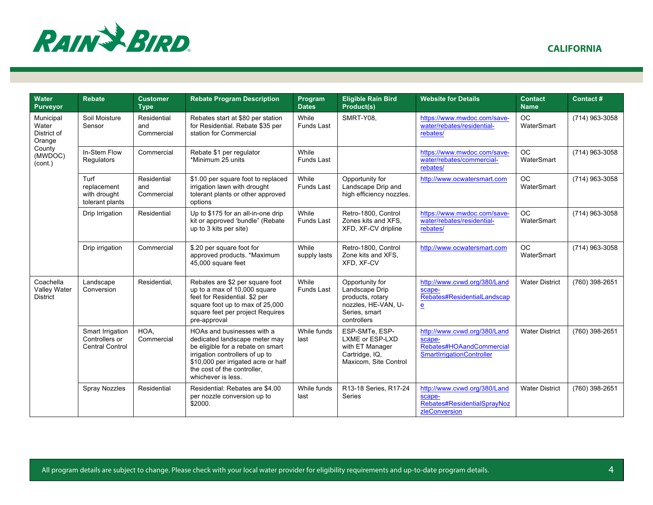

|  | <b>CALIFORNIA</b> |  |
|--|-------------------|--|
|  |                   |  |

| Water<br><b>Purveyor</b>                     | Rebate                                                       | <b>Customer</b><br><b>Type</b>   | <b>Rebate Program Description</b>                                                                                                                                                                                               | Program<br><b>Dates</b>    | <b>Eligible Rain Bird</b><br>Product(s)                                                                      | <b>Website for Details</b>                                                                      | <b>Contact</b><br><b>Name</b> | Contact#       |
|----------------------------------------------|--------------------------------------------------------------|----------------------------------|---------------------------------------------------------------------------------------------------------------------------------------------------------------------------------------------------------------------------------|----------------------------|--------------------------------------------------------------------------------------------------------------|-------------------------------------------------------------------------------------------------|-------------------------------|----------------|
| Municipal<br>Water<br>District of<br>Orange  | Soil Moisture<br>Sensor                                      | Residential<br>and<br>Commercial | Rebates start at \$80 per station<br>for Residential. Rebate \$35 per<br>station for Commercial                                                                                                                                 | While<br><b>Funds Last</b> | SMRT-Y08,                                                                                                    | https://www.mwdoc.com/save-<br>water/rebates/residential-<br>rebates/                           | <b>OC</b><br>WaterSmart       | (714) 963-3058 |
| County<br>(MWDOC)<br>(cont.)                 | In-Stem Flow<br>Regulators                                   | Commercial                       | Rebate \$1 per regulator<br>*Minimum 25 units                                                                                                                                                                                   | While<br>Funds Last        |                                                                                                              | https://www.mwdoc.com/save-<br>water/rebates/commercial-<br>rebates/                            | OC.<br>WaterSmart             | (714) 963-3058 |
|                                              | Turf<br>replacement<br>with drought<br>tolerant plants       | Residential<br>and<br>Commercial | \$1.00 per square foot to replaced<br>irrigation lawn with drought<br>tolerant plants or other approved<br>options                                                                                                              | While<br><b>Funds Last</b> | Opportunity for<br>Landscape Drip and<br>high efficiency nozzles.                                            | http://www.ocwatersmart.com                                                                     | OC.<br>WaterSmart             | (714) 963-3058 |
|                                              | Drip Irrigation                                              | Residential                      | Up to \$175 for an all-in-one drip<br>kit or approved 'bundle" (Rebate<br>up to 3 kits per site)                                                                                                                                | While<br><b>Funds Last</b> | Retro-1800, Control<br>Zones kits and XFS.<br>XFD, XF-CV dripline                                            | https://www.mwdoc.com/save-<br>water/rebates/residential-<br>rebates/                           | OC.<br>WaterSmart             | (714) 963-3058 |
|                                              | Drip irrigation                                              | Commercial                       | \$.20 per square foot for<br>approved products. *Maximum<br>45,000 square feet                                                                                                                                                  | While<br>supply lasts      | Retro-1800, Control<br>Zone kits and XFS.<br>XFD. XF-CV                                                      | http://www.ocwatersmart.com                                                                     | <b>OC</b><br>WaterSmart       | (714) 963-3058 |
| Coachella<br>Valley Water<br><b>District</b> | Landscape<br>Conversion                                      | Residential.                     | Rebates are \$2 per square foot<br>up to a max of 10,000 square<br>feet for Residential. \$2 per<br>square foot up to max of 25,000<br>square feet per project Requires<br>pre-approval                                         | While<br>Funds Last        | Opportunity for<br>Landscape Drip<br>products, rotary<br>nozzles, HE-VAN, U-<br>Series, smart<br>controllers | http://www.cvwd.org/380/Land<br>scape-<br>Rebates#ResidentialLandscap<br>e                      | <b>Water District</b>         | (760) 398-2651 |
|                                              | Smart Irrigation<br>Controllers or<br><b>Central Control</b> | HOA.<br>Commercial               | HOAs and businesses with a<br>dedicated landscape meter may<br>be eligible for a rebate on smart<br>irrigation controllers of up to<br>\$10,000 per irrigated acre or half<br>the cost of the controller,<br>whichever is less. | While funds<br>last        | ESP-SMTe. ESP-<br>LXME or ESP-LXD<br>with ET Manager<br>Cartridge, IQ,<br>Maxicom, Site Control              | http://www.cvwd.org/380/Land<br>scape-<br>Rebates#HOAandCommercial<br>SmartIrrigationController | <b>Water District</b>         | (760) 398-2651 |
|                                              | <b>Spray Nozzles</b>                                         | Residential                      | Residential: Rebates are \$4.00<br>per nozzle conversion up to<br>\$2000.                                                                                                                                                       | While funds<br>last        | R13-18 Series, R17-24<br><b>Series</b>                                                                       | http://www.cvwd.org/380/Land<br>scape-<br>Rebates#ResidentialSprayNoz<br>zleConversion          | <b>Water District</b>         | (760) 398-2651 |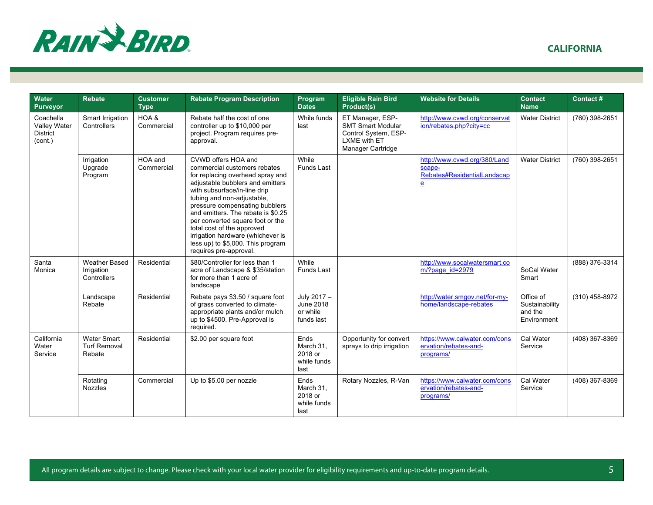

| Water<br><b>Purveyor</b>                                | <b>Rebate</b>                                       | <b>Customer</b><br><b>Type</b> | <b>Rebate Program Description</b>                                                                                                                                                                                                                                                                                                                                                                                                       | Program<br><b>Dates</b>                             | <b>Eligible Rain Bird</b><br>Product(s)                                                                   | <b>Website for Details</b>                                                            | <b>Contact</b><br><b>Name</b>                         | Contact#       |
|---------------------------------------------------------|-----------------------------------------------------|--------------------------------|-----------------------------------------------------------------------------------------------------------------------------------------------------------------------------------------------------------------------------------------------------------------------------------------------------------------------------------------------------------------------------------------------------------------------------------------|-----------------------------------------------------|-----------------------------------------------------------------------------------------------------------|---------------------------------------------------------------------------------------|-------------------------------------------------------|----------------|
| Coachella<br>Valley Water<br><b>District</b><br>(cont.) | Smart Irrigation<br>Controllers                     | HOA &<br>Commercial            | Rebate half the cost of one<br>controller up to \$10,000 per<br>project. Program requires pre-<br>approval.                                                                                                                                                                                                                                                                                                                             | While funds<br>last                                 | ET Manager, ESP-<br><b>SMT Smart Modular</b><br>Control System, ESP-<br>LXME with ET<br>Manager Cartridge | http://www.cvwd.org/conservat<br>ion/rebates.php?city=cc                              | <b>Water District</b>                                 | (760) 398-2651 |
|                                                         | Irrigation<br>Upgrade<br>Program                    | HOA and<br>Commercial          | CVWD offers HOA and<br>commercial customers rebates<br>for replacing overhead spray and<br>adjustable bubblers and emitters<br>with subsurface/in-line drip<br>tubing and non-adjustable,<br>pressure compensating bubblers<br>and emitters. The rebate is \$0.25<br>per converted square foot or the<br>total cost of the approved<br>irrigation hardware (whichever is<br>less up) to \$5,000. This program<br>requires pre-approval. | While<br><b>Funds Last</b>                          |                                                                                                           | http://www.cvwd.org/380/Land<br>scape-<br>Rebates#ResidentialLandscap<br>$\mathbf{e}$ | <b>Water District</b>                                 | (760) 398-2651 |
| Santa<br>Monica                                         | <b>Weather Based</b><br>Irrigation<br>Controllers   | Residential                    | \$80/Controller for less than 1<br>acre of Landscape & \$35/station<br>for more than 1 acre of<br>landscape                                                                                                                                                                                                                                                                                                                             | While<br>Funds Last                                 |                                                                                                           | http://www.socalwatersmart.co<br>m/?page_id=2979                                      | SoCal Water<br>Smart                                  | (888) 376-3314 |
|                                                         | Landscape<br>Rebate                                 | Residential                    | Rebate pays \$3.50 / square foot<br>of grass converted to climate-<br>appropriate plants and/or mulch<br>up to \$4500. Pre-Approval is<br>required.                                                                                                                                                                                                                                                                                     | July 2017 -<br>June 2018<br>or while<br>funds last  |                                                                                                           | http://water.smgov.net/for-my-<br>home/landscape-rebates                              | Office of<br>Sustainability<br>and the<br>Environment | (310) 458-8972 |
| California<br>Water<br>Service                          | <b>Water Smart</b><br><b>Turf Removal</b><br>Rebate | Residential                    | \$2.00 per square foot                                                                                                                                                                                                                                                                                                                                                                                                                  | Ends<br>March 31.<br>2018 or<br>while funds<br>last | Opportunity for convert<br>sprays to drip irrigation                                                      | https://www.calwater.com/cons<br>ervation/rebates-and-<br>programs/                   | Cal Water<br>Service                                  | (408) 367-8369 |
|                                                         | Rotating<br><b>Nozzles</b>                          | Commercial                     | Up to \$5.00 per nozzle                                                                                                                                                                                                                                                                                                                                                                                                                 | Ends<br>March 31.<br>2018 or<br>while funds<br>last | Rotary Nozzles, R-Van                                                                                     | https://www.calwater.com/cons<br>ervation/rebates-and-<br>programs/                   | Cal Water<br>Service                                  | (408) 367-8369 |